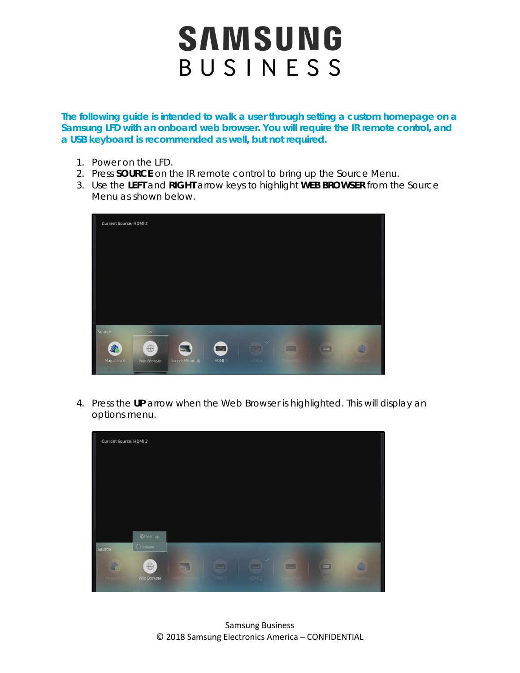**The following guide is intended to walk a user through setting a custom homepage on a Samsung LFD with an onboard web browser. You will require the IR remote control, and a USB keyboard is recommended as well, but not required.** 

- 1. Power on the LFD.
- 2. Press **SOURCE** on the IR remote control to bring up the Source Menu.
- 3. Use the **LEFT** and **RIGHT** arrow keys to highlight **WEB BROWSER** from the Source Menu as shown below.

| Current Source: HDMI 2 |                    |                  |                   |        |                |            |                |
|------------------------|--------------------|------------------|-------------------|--------|----------------|------------|----------------|
|                        |                    |                  |                   |        |                |            |                |
|                        |                    |                  |                   |        |                |            |                |
|                        |                    |                  |                   |        |                |            |                |
|                        |                    |                  |                   |        |                |            |                |
| Source                 | $\curvearrowright$ |                  |                   |        |                |            |                |
| 脚                      | $\oplus$           | ⋍                | $\blacksquare$    | Á<br>声 | $\blacksquare$ | <b>ELE</b> |                |
| Magicinfo S            | Web Browser        | Screen Mirroring | HDMI <sub>1</sub> | HDM 2  |                | <b>BV</b>  | <b>Shismic</b> |

4. Press the **UP** arrow when the Web Browser is highlighted. This will display an options menu.

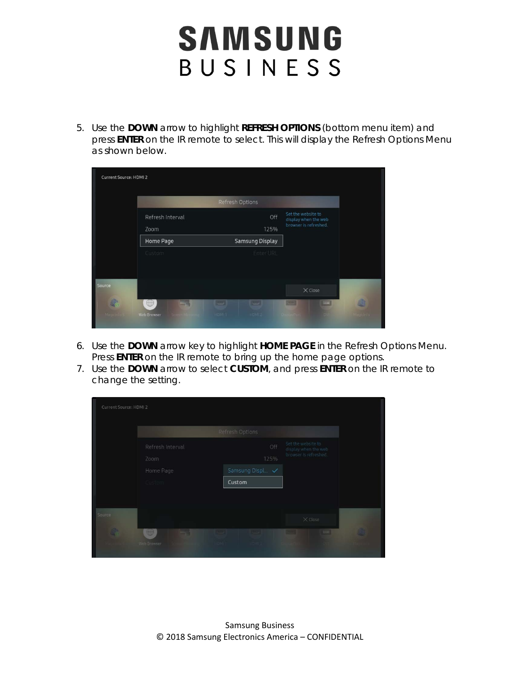5. Use the **DOWN** arrow to highlight **REFRESH OPTIONS** (bottom menu item) and press **ENTER** on the IR remote to select. This will display the Refresh Options Menu as shown below.

| <b>Current Source: HDMI 2</b> |                                                         | Refresh Options                                        |                                                                     |                        |
|-------------------------------|---------------------------------------------------------|--------------------------------------------------------|---------------------------------------------------------------------|------------------------|
|                               | Refresh Interval<br>Zoom                                | Off<br>125%                                            | Set the website to<br>display when the web<br>browser is refreshed. |                        |
|                               | Home Page<br>Custom                                     | <b>Samsung Display</b><br>Enter URL                    |                                                                     |                        |
| Source                        |                                                         |                                                        | $\times$ Close                                                      |                        |
| 4<br>Magicinin's              | $\oplus$<br>- 1<br>Web Browser<br><b>Sacar Managers</b> | <b>TEST</b><br><b>TOWER</b><br><b>HDMI 1</b><br>HDMIZ. | <b>ED</b><br><b>Tend</b><br>ä.<br><b>BISPIBYFORD</b>                | 勴<br>$\frac{1}{2}$ m/s |

- 6. Use the **DOWN** arrow key to highlight **HOME PAGE** in the Refresh Options Menu. Press **ENTER** on the IR remote to bring up the home page options.
- 7. Use the **DOWN** arrow to select **CUSTOM**, and press **ENTER** on the IR remote to change the setting.

| Current Source: HDMI 2 |                                  |                                                    |                                                                     |  |
|------------------------|----------------------------------|----------------------------------------------------|---------------------------------------------------------------------|--|
|                        |                                  | Refresh Options                                    |                                                                     |  |
|                        | Refresh Interval<br>Zoom         | Off<br>125%                                        | Set the website to<br>display when the web<br>browser is refreshed. |  |
|                        | Home Page<br><b>Gustom</b>       | Samsung Displ √<br>Custom                          |                                                                     |  |
| Source                 |                                  |                                                    | $\times$ Close                                                      |  |
| $\blacksquare$         | $\bigoplus$<br>--<br>Web Browser | <u>the test</u><br><b>CAN THE REPORT OF PERIOD</b> | max<br><b>TEEL</b><br><b>A CHIT</b>                                 |  |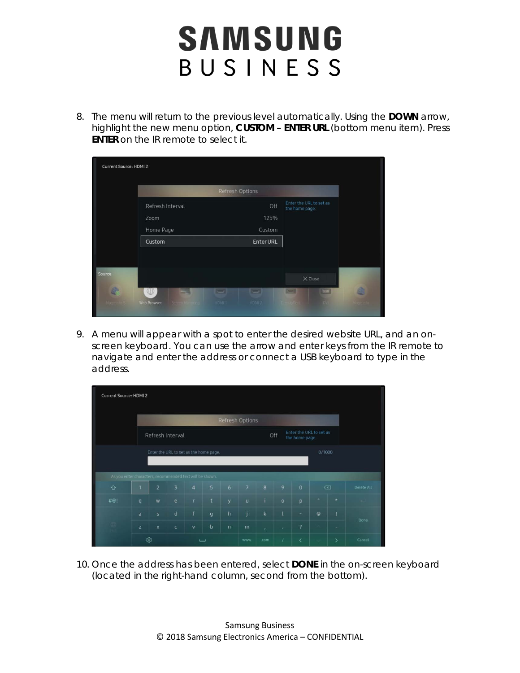8. The menu will return to the previous level automatically. Using the **DOWN** arrow, highlight the new menu option, **CUSTOM – ENTER URL** (bottom menu item). Press **ENTER** on the IR remote to select it.

| Current Source: HDMI 2 |                                                   |                                              |                                           |                       |
|------------------------|---------------------------------------------------|----------------------------------------------|-------------------------------------------|-----------------------|
|                        |                                                   | Refresh Options                              |                                           |                       |
|                        | Refresh Interval                                  | Off                                          | Enter the URL to set as<br>the home page. |                       |
|                        | Zoom                                              | 125%                                         |                                           |                       |
|                        | Home Page                                         | Custom                                       |                                           |                       |
|                        | Custom                                            | <b>Enter URL</b>                             |                                           |                       |
|                        |                                                   |                                              |                                           |                       |
| Source                 |                                                   |                                              | $\times$ Close                            |                       |
| á<br>Mageto 615        | $\oplus$<br>$-1$<br>Web Browser<br>Schem Mindelpd | $=1$<br>$\equiv$<br><b>HDMLT</b><br>I IDMI 2 | <b>Silip</b><br>E<br>$\overline{D}$       | 通<br><b>OR SITTER</b> |

9. A menu will appear with a spot to enter the desired website URL, and an onscreen keyboard. You can use the arrow and enter keys from the IR remote to navigate and enter the address or connect a USB keyboard to type in the address.

| <b>Current Source: HDMI2</b>                     |                                                          |                                                                                        |                   |                          |             |                |                |                |              |                               |         |               |            |
|--------------------------------------------------|----------------------------------------------------------|----------------------------------------------------------------------------------------|-------------------|--------------------------|-------------|----------------|----------------|----------------|--------------|-------------------------------|---------|---------------|------------|
|                                                  |                                                          | <b>Refresh Options</b>                                                                 |                   |                          |             |                |                |                |              |                               |         |               |            |
|                                                  |                                                          | Enter the URL to set as<br>Off<br>Refresh Interval<br>the home page.                   |                   |                          |             |                |                |                |              |                               |         |               |            |
| Enter the URL to set as the home page.<br>0/1000 |                                                          |                                                                                        |                   |                          |             |                |                |                |              |                               |         |               |            |
|                                                  | As you enter characters, recommended text will be shown. |                                                                                        |                   |                          |             |                |                |                |              |                               |         |               |            |
| $\Diamond$                                       |                                                          | $\overline{3}$<br>5 <sup>5</sup><br>6 <sup>1</sup><br>$\overline{2}$<br>$\overline{4}$ |                   |                          |             |                | 7              | $\overline{8}$ | 9            | $\mathbf{0}$                  |         | $\infty$      | Delete All |
| #@!                                              | q                                                        | W                                                                                      | $\mathsf{e}$      | $\mathbf{r}$             | $\mathbf t$ | y              | u              | j.             | $\circ$      | p                             | ۰       | $\star$       |            |
|                                                  | a                                                        | s.                                                                                     | $\mathsf{d}$      | f                        | g           | h              | $\overline{1}$ | $\bf k$        | $\mathbf{I}$ | $\overline{a}$                | $\circ$ | Ţ             | Done       |
|                                                  | $\mathbf{z}$                                             | $\mathbf x$                                                                            | $\ddot{\text{c}}$ | $\mathsf{v}$             | $\mathbf b$ | $\overline{n}$ | m              | V              | ¥.           | $\overline{?}$                |         | ÷             |            |
|                                                  |                                                          | ශ                                                                                      |                   | $\overline{\phantom{0}}$ |             |                | www.           | com            | $\prime$     | $\overline{\left( \right. }%$ |         | $\mathcal{P}$ | Cancel     |

10. Once the address has been entered, select **DONE** in the on-screen keyboard (located in the right-hand column, second from the bottom).